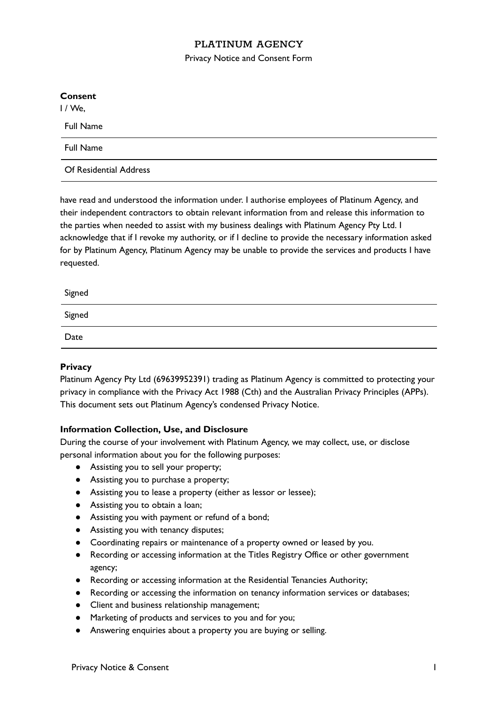# PLATINUM AGENCY

Privacy Notice and Consent Form

| <b>Consent</b>         |  |
|------------------------|--|
| 1 / We,                |  |
| <b>Full Name</b>       |  |
| <b>Full Name</b>       |  |
| Of Residential Address |  |
|                        |  |

have read and understood the information under. I authorise employees of Platinum Agency, and their independent contractors to obtain relevant information from and release this information to the parties when needed to assist with my business dealings with Platinum Agency Pty Ltd. I acknowledge that if I revoke my authority, or if I decline to provide the necessary information asked for by Platinum Agency, Platinum Agency may be unable to provide the services and products I have requested.

| Signed |  |
|--------|--|
| Signed |  |
| Date   |  |

### **Privacy**

Platinum Agency Pty Ltd (69639952391) trading as Platinum Agency is committed to protecting your privacy in compliance with the Privacy Act 1988 (Cth) and the Australian Privacy Principles (APPs). This document sets out Platinum Agency's condensed Privacy Notice.

## **Information Collection, Use, and Disclosure**

During the course of your involvement with Platinum Agency, we may collect, use, or disclose personal information about you for the following purposes:

- Assisting you to sell your property;
- Assisting you to purchase a property;
- Assisting you to lease a property (either as lessor or lessee);
- Assisting you to obtain a loan;
- Assisting you with payment or refund of a bond;
- Assisting you with tenancy disputes;
- Coordinating repairs or maintenance of a property owned or leased by you.
- Recording or accessing information at the Titles Registry Office or other government agency;
- Recording or accessing information at the Residential Tenancies Authority;
- Recording or accessing the information on tenancy information services or databases;
- Client and business relationship management;
- Marketing of products and services to you and for you;
- Answering enquiries about a property you are buying or selling.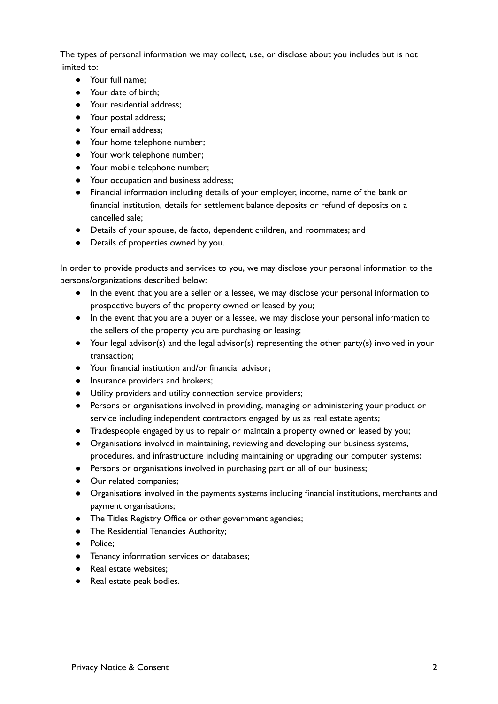The types of personal information we may collect, use, or disclose about you includes but is not limited to:

- Your full name;
- Your date of birth;
- Your residential address;
- Your postal address;
- Your email address;
- Your home telephone number;
- Your work telephone number;
- Your mobile telephone number;
- Your occupation and business address;
- Financial information including details of your employer, income, name of the bank or financial institution, details for settlement balance deposits or refund of deposits on a cancelled sale;
- Details of your spouse, de facto, dependent children, and roommates; and
- Details of properties owned by you.

In order to provide products and services to you, we may disclose your personal information to the persons/organizations described below:

- In the event that you are a seller or a lessee, we may disclose your personal information to prospective buyers of the property owned or leased by you;
- In the event that you are a buyer or a lessee, we may disclose your personal information to the sellers of the property you are purchasing or leasing;
- Your legal advisor(s) and the legal advisor(s) representing the other party(s) involved in your transaction;
- Your financial institution and/or financial advisor;
- Insurance providers and brokers;
- Utility providers and utility connection service providers;
- Persons or organisations involved in providing, managing or administering your product or service including independent contractors engaged by us as real estate agents;
- Tradespeople engaged by us to repair or maintain a property owned or leased by you;
- Organisations involved in maintaining, reviewing and developing our business systems, procedures, and infrastructure including maintaining or upgrading our computer systems;
- Persons or organisations involved in purchasing part or all of our business;
- Our related companies;
- Organisations involved in the payments systems including financial institutions, merchants and payment organisations;
- The Titles Registry Office or other government agencies;
- The Residential Tenancies Authority;
- Police;
- Tenancy information services or databases;
- Real estate websites;
- Real estate peak bodies.